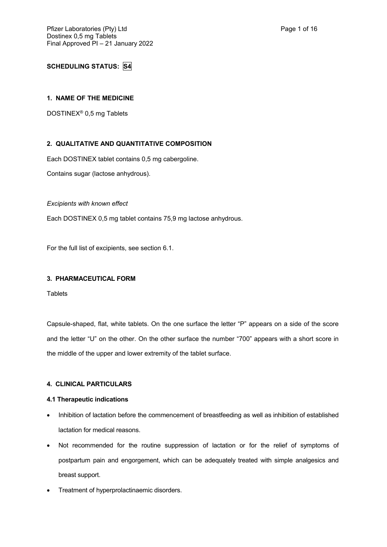# **SCHEDULING STATUS: S4**

## **1. NAME OF THE MEDICINE**

DOSTINEX® 0,5 mg Tablets

## **2. QUALITATIVE AND QUANTITATIVE COMPOSITION**

Each DOSTINEX tablet contains 0,5 mg cabergoline.

Contains sugar (lactose anhydrous).

## *Excipients with known effect*

Each DOSTINEX 0,5 mg tablet contains 75,9 mg lactose anhydrous.

For the full list of excipients, see section 6.1.

## **3. PHARMACEUTICAL FORM**

**Tablets** 

Capsule-shaped, flat, white tablets. On the one surface the letter "P" appears on a side of the score and the letter "U" on the other. On the other surface the number "700" appears with a short score in the middle of the upper and lower extremity of the tablet surface.

## **4. CLINICAL PARTICULARS**

### **4.1 Therapeutic indications**

- Inhibition of lactation before the commencement of breastfeeding as well as inhibition of established lactation for medical reasons.
- Not recommended for the routine suppression of lactation or for the relief of symptoms of postpartum pain and engorgement, which can be adequately treated with simple analgesics and breast support.
- Treatment of hyperprolactinaemic disorders.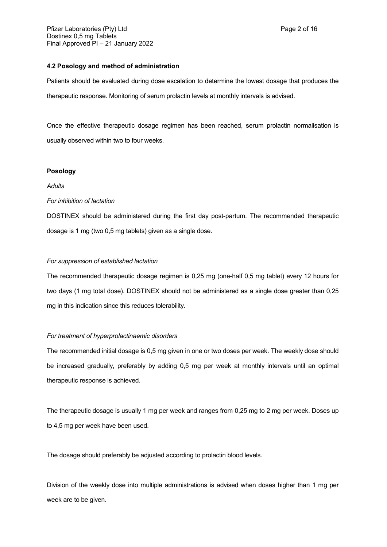### **4.2 Posology and method of administration**

Patients should be evaluated during dose escalation to determine the lowest dosage that produces the therapeutic response. Monitoring of serum prolactin levels at monthly intervals is advised.

Once the effective therapeutic dosage regimen has been reached, serum prolactin normalisation is usually observed within two to four weeks.

### **Posology**

## *Adults*

#### *For inhibition of lactation*

DOSTINEX should be administered during the first day post-partum. The recommended therapeutic dosage is 1 mg (two 0,5 mg tablets) given as a single dose.

### *For suppression of established lactation*

The recommended therapeutic dosage regimen is 0,25 mg (one-half 0,5 mg tablet) every 12 hours for two days (1 mg total dose). DOSTINEX should not be administered as a single dose greater than 0,25 mg in this indication since this reduces tolerability.

#### *For treatment of hyperprolactinaemic disorders*

The recommended initial dosage is 0,5 mg given in one or two doses per week. The weekly dose should be increased gradually, preferably by adding 0,5 mg per week at monthly intervals until an optimal therapeutic response is achieved.

The therapeutic dosage is usually 1 mg per week and ranges from 0,25 mg to 2 mg per week. Doses up to 4,5 mg per week have been used.

The dosage should preferably be adjusted according to prolactin blood levels.

Division of the weekly dose into multiple administrations is advised when doses higher than 1 mg per week are to be given.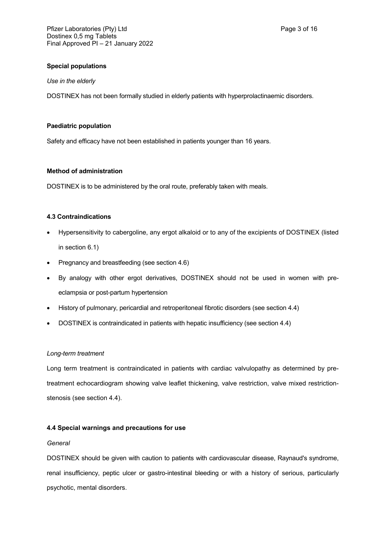## **Special populations**

#### *Use in the elderly*

DOSTINEX has not been formally studied in elderly patients with hyperprolactinaemic disorders.

### **Paediatric population**

Safety and efficacy have not been established in patients younger than 16 years.

### **Method of administration**

DOSTINEX is to be administered by the oral route, preferably taken with meals.

### **4.3 Contraindications**

- Hypersensitivity to cabergoline, any ergot alkaloid or to any of the excipients of DOSTINEX (listed in section 6.1)
- Pregnancy and breastfeeding (see section 4.6)
- By analogy with other ergot derivatives, DOSTINEX should not be used in women with preeclampsia or post-partum hypertension
- History of pulmonary, pericardial and retroperitoneal fibrotic disorders (see section 4.4)
- DOSTINEX is contraindicated in patients with hepatic insufficiency (see section 4.4)

#### *Long-term treatment*

Long term treatment is contraindicated in patients with cardiac valvulopathy as determined by pretreatment echocardiogram showing valve leaflet thickening, valve restriction, valve mixed restrictionstenosis (see section 4.4).

### **4.4 Special warnings and precautions for use**

#### *General*

DOSTINEX should be given with caution to patients with cardiovascular disease, Raynaud's syndrome, renal insufficiency, peptic ulcer or gastro-intestinal bleeding or with a history of serious, particularly psychotic, mental disorders.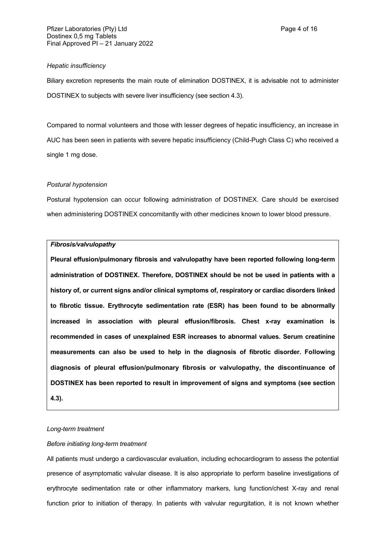### *Hepatic insufficiency*

Biliary excretion represents the main route of elimination DOSTINEX, it is advisable not to administer DOSTINEX to subjects with severe liver insufficiency (see section 4.3).

Compared to normal volunteers and those with lesser degrees of hepatic insufficiency, an increase in AUC has been seen in patients with severe hepatic insufficiency (Child-Pugh Class C) who received a single 1 mg dose.

### *Postural hypotension*

Postural hypotension can occur following administration of DOSTINEX. Care should be exercised when administering DOSTINEX concomitantly with other medicines known to lower blood pressure.

#### *Fibrosis/valvulopathy*

**Pleural effusion/pulmonary fibrosis and valvulopathy have been reported following long-term administration of DOSTINEX. Therefore, DOSTINEX should be not be used in patients with a history of, or current signs and/or clinical symptoms of, respiratory or cardiac disorders linked to fibrotic tissue. Erythrocyte sedimentation rate (ESR) has been found to be abnormally increased in association with pleural effusion/fibrosis. Chest x-ray examination is recommended in cases of unexplained ESR increases to abnormal values. Serum creatinine measurements can also be used to help in the diagnosis of fibrotic disorder. Following diagnosis of pleural effusion/pulmonary fibrosis or valvulopathy, the discontinuance of DOSTINEX has been reported to result in improvement of signs and symptoms (see section 4.3).**

#### *Long-term treatment*

### *Before initiating long-term treatment*

All patients must undergo a cardiovascular evaluation, including echocardiogram to assess the potential presence of asymptomatic valvular disease. It is also appropriate to perform baseline investigations of erythrocyte sedimentation rate or other inflammatory markers, lung function/chest X-ray and renal function prior to initiation of therapy. In patients with valvular regurgitation, it is not known whether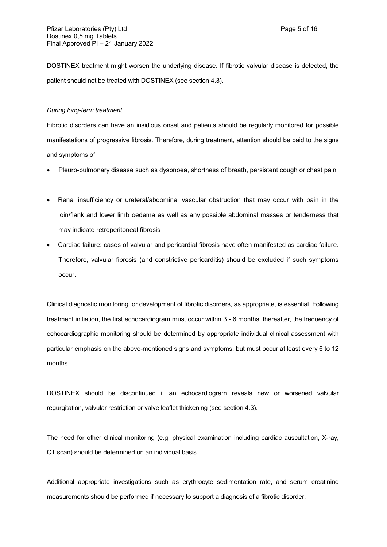DOSTINEX treatment might worsen the underlying disease. If fibrotic valvular disease is detected, the patient should not be treated with DOSTINEX (see section 4.3).

#### *During long-term treatment*

Fibrotic disorders can have an insidious onset and patients should be regularly monitored for possible manifestations of progressive fibrosis. Therefore, during treatment, attention should be paid to the signs and symptoms of:

- Pleuro-pulmonary disease such as dyspnoea, shortness of breath, persistent cough or chest pain
- Renal insufficiency or ureteral/abdominal vascular obstruction that may occur with pain in the loin/flank and lower limb oedema as well as any possible abdominal masses or tenderness that may indicate retroperitoneal fibrosis
- Cardiac failure: cases of valvular and pericardial fibrosis have often manifested as cardiac failure. Therefore, valvular fibrosis (and constrictive pericarditis) should be excluded if such symptoms occur.

Clinical diagnostic monitoring for development of fibrotic disorders, as appropriate, is essential. Following treatment initiation, the first echocardiogram must occur within 3 - 6 months; thereafter, the frequency of echocardiographic monitoring should be determined by appropriate individual clinical assessment with particular emphasis on the above-mentioned signs and symptoms, but must occur at least every 6 to 12 months.

DOSTINEX should be discontinued if an echocardiogram reveals new or worsened valvular regurgitation, valvular restriction or valve leaflet thickening (see section 4.3).

The need for other clinical monitoring (e.g. physical examination including cardiac auscultation, X-ray, CT scan) should be determined on an individual basis.

Additional appropriate investigations such as erythrocyte sedimentation rate, and serum creatinine measurements should be performed if necessary to support a diagnosis of a fibrotic disorder.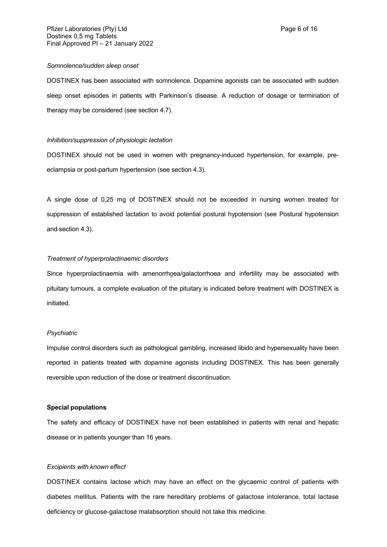#### *Somnolence/sudden sleep onset*

DOSTINEX has been associated with somnolence. Dopamine agonists can be associated with sudden sleep onset episodes in patients with Parkinson's disease. A reduction of dosage or termination of therapy may be considered (see section 4.7).

#### *Inhibition/suppression of physiologic lactation*

DOSTINEX should not be used in women with pregnancy-induced hypertension, for example, preeclampsia or post-partum hypertension (see section 4.3).

A single dose of 0,25 mg of DOSTINEX should not be exceeded in nursing women treated for suppression of established lactation to avoid potential postural hypotension (see Postural hypotension and section 4.3).

### *Treatment of hyperprolactinaemic disorders*

Since hyperprolactinaemia with amenorrhoea/galactorrhoea and infertility may be associated with pituitary tumours, a complete evaluation of the pituitary is indicated before treatment with DOSTINEX is initiated.

#### *Psychiatric*

Impulse control disorders such as pathological gambling, increased libido and hypersexuality have been reported in patients treated with dopamine agonists including DOSTINEX. This has been generally reversible upon reduction of the dose or treatment discontinuation.

### **Special populations**

The safety and efficacy of DOSTINEX have not been established in patients with renal and hepatic disease or in patients younger than 16 years..

#### *Excipients with known effect*

DOSTINEX contains lactose which may have an effect on the glycaemic control of patients with diabetes mellitus. Patients with the rare hereditary problems of galactose intolerance, total lactase deficiency or glucose-galactose malabsorption should not take this medicine.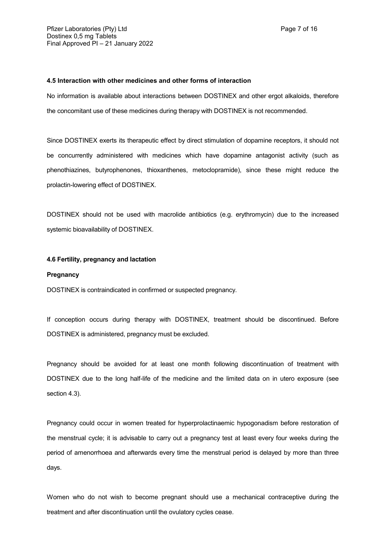### **4.5 Interaction with other medicines and other forms of interaction**

No information is available about interactions between DOSTINEX and other ergot alkaloids, therefore the concomitant use of these medicines during therapy with DOSTINEX is not recommended.

Since DOSTINEX exerts its therapeutic effect by direct stimulation of dopamine receptors, it should not be concurrently administered with medicines which have dopamine antagonist activity (such as phenothiazines, butyrophenones, thioxanthenes, metoclopramide), since these might reduce the prolactin-lowering effect of DOSTINEX.

DOSTINEX should not be used with macrolide antibiotics (e.g. erythromycin) due to the increased systemic bioavailability of DOSTINEX.

## **4.6 Fertility, pregnancy and lactation**

### **Pregnancy**

DOSTINEX is contraindicated in confirmed or suspected pregnancy.

If conception occurs during therapy with DOSTINEX, treatment should be discontinued. Before DOSTINEX is administered, pregnancy must be excluded.

Pregnancy should be avoided for at least one month following discontinuation of treatment with DOSTINEX due to the long half-life of the medicine and the limited data on in utero exposure (see section 4.3).

Pregnancy could occur in women treated for hyperprolactinaemic hypogonadism before restoration of the menstrual cycle; it is advisable to carry out a pregnancy test at least every four weeks during the period of amenorrhoea and afterwards every time the menstrual period is delayed by more than three days.

Women who do not wish to become pregnant should use a mechanical contraceptive during the treatment and after discontinuation until the ovulatory cycles cease.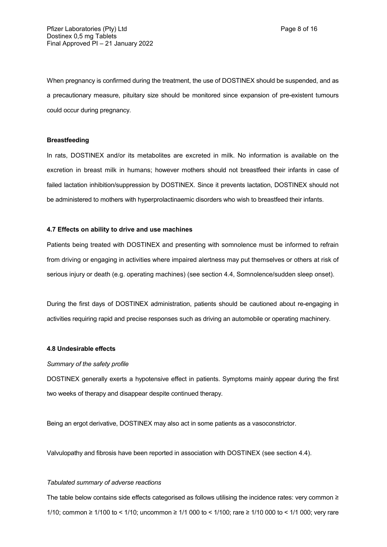When pregnancy is confirmed during the treatment, the use of DOSTINEX should be suspended, and as a precautionary measure, pituitary size should be monitored since expansion of pre-existent tumours could occur during pregnancy.

### **Breastfeeding**

In rats, DOSTINEX and/or its metabolites are excreted in milk. No information is available on the excretion in breast milk in humans; however mothers should not breastfeed their infants in case of failed lactation inhibition/suppression by DOSTINEX. Since it prevents lactation, DOSTINEX should not be administered to mothers with hyperprolactinaemic disorders who wish to breastfeed their infants.

#### **4.7 Effects on ability to drive and use machines**

Patients being treated with DOSTINEX and presenting with somnolence must be informed to refrain from driving or engaging in activities where impaired alertness may put themselves or others at risk of serious injury or death (e.g. operating machines) (see section 4.4, Somnolence/sudden sleep onset).

During the first days of DOSTINEX administration, patients should be cautioned about re-engaging in activities requiring rapid and precise responses such as driving an automobile or operating machinery.

#### **4.8 Undesirable effects**

#### *Summary of the safety profile*

DOSTINEX generally exerts a hypotensive effect in patients. Symptoms mainly appear during the first two weeks of therapy and disappear despite continued therapy.

Being an ergot derivative, DOSTINEX may also act in some patients as a vasoconstrictor.

Valvulopathy and fibrosis have been reported in association with DOSTINEX (see section 4.4).

#### *Tabulated summary of adverse reactions*

The table below contains side effects categorised as follows utilising the incidence rates: very common ≥ 1/10; common ≥ 1/100 to < 1/10; uncommon ≥ 1/1 000 to < 1/100; rare ≥ 1/10 000 to < 1/1 000; very rare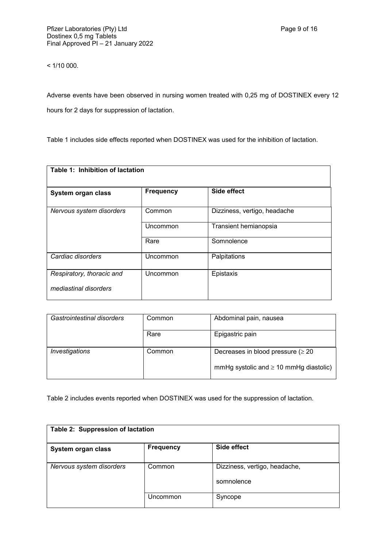$< 1/10000$ .

Adverse events have been observed in nursing women treated with 0,25 mg of DOSTINEX every 12 hours for 2 days for suppression of lactation.

Table 1 includes side effects reported when DOSTINEX was used for the inhibition of lactation.

| Table 1: Inhibition of lactation |                  |                              |
|----------------------------------|------------------|------------------------------|
| System organ class               | <b>Frequency</b> | Side effect                  |
| Nervous system disorders         | Common           | Dizziness, vertigo, headache |
|                                  | Uncommon         | Transient hemianopsia        |
|                                  | Rare             | Somnolence                   |
| Cardiac disorders                | Uncommon         | Palpitations                 |
| Respiratory, thoracic and        | Uncommon         | Epistaxis                    |
| mediastinal disorders            |                  |                              |

| Gastrointestinal disorders | Common | Abdominal pain, nausea                      |
|----------------------------|--------|---------------------------------------------|
|                            | Rare   | Epigastric pain                             |
| Investigations             | Common | Decreases in blood pressure ( $\geq 20$     |
|                            |        | mmHg systolic and $\geq 10$ mmHg diastolic) |

Table 2 includes events reported when DOSTINEX was used for the suppression of lactation.

| Table 2: Suppression of lactation |                  |                                             |
|-----------------------------------|------------------|---------------------------------------------|
| System organ class                | <b>Frequency</b> | Side effect                                 |
| Nervous system disorders          | Common           | Dizziness, vertigo, headache,<br>somnolence |
|                                   | Uncommon         | Syncope                                     |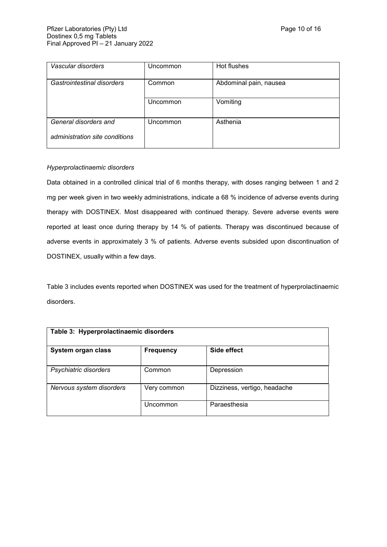| Vascular disorders             | Uncommon | Hot flushes            |
|--------------------------------|----------|------------------------|
| Gastrointestinal disorders     | Common   | Abdominal pain, nausea |
|                                | Uncommon | Vomiting               |
| General disorders and          | Uncommon | Asthenia               |
| administration site conditions |          |                        |

## *Hyperprolactinaemic disorders*

Data obtained in a controlled clinical trial of 6 months therapy, with doses ranging between 1 and 2 mg per week given in two weekly administrations, indicate a 68 % incidence of adverse events during therapy with DOSTINEX. Most disappeared with continued therapy. Severe adverse events were reported at least once during therapy by 14 % of patients. Therapy was discontinued because of adverse events in approximately 3 % of patients. Adverse events subsided upon discontinuation of DOSTINEX, usually within a few days.

Table 3 includes events reported when DOSTINEX was used for the treatment of hyperprolactinaemic disorders.

| Table 3: Hyperprolactinaemic disorders |                  |                              |
|----------------------------------------|------------------|------------------------------|
| System organ class                     | <b>Frequency</b> | Side effect                  |
| Psychiatric disorders                  | Common           | Depression                   |
| Nervous system disorders               | Very common      | Dizziness, vertigo, headache |
|                                        | Uncommon         | Paraesthesia                 |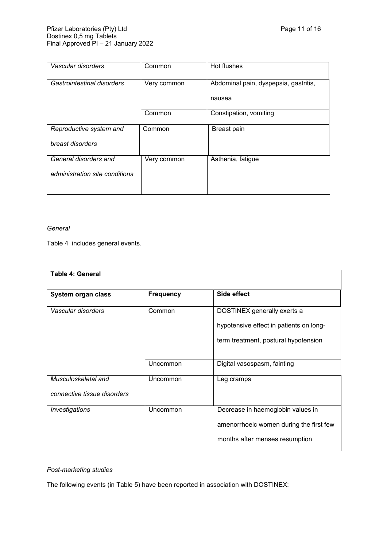| Vascular disorders             | Common      | Hot flushes                           |
|--------------------------------|-------------|---------------------------------------|
| Gastrointestinal disorders     | Very common | Abdominal pain, dyspepsia, gastritis, |
|                                |             | nausea                                |
|                                | Common      | Constipation, vomiting                |
| Reproductive system and        | Common      | Breast pain                           |
| breast disorders               |             |                                       |
| General disorders and          | Very common | Asthenia, fatigue                     |
| administration site conditions |             |                                       |
|                                |             |                                       |

## *General*

Table 4 includes general events.

| <b>Table 4: General</b>                            |                  |                                                                                                                |
|----------------------------------------------------|------------------|----------------------------------------------------------------------------------------------------------------|
| System organ class                                 | <b>Frequency</b> | Side effect                                                                                                    |
| Vascular disorders                                 | Common           | DOSTINEX generally exerts a<br>hypotensive effect in patients on long-<br>term treatment, postural hypotension |
|                                                    | Uncommon         | Digital vasospasm, fainting                                                                                    |
| Musculoskeletal and<br>connective tissue disorders | Uncommon         | Leg cramps                                                                                                     |
| Investigations                                     | Uncommon         | Decrease in haemoglobin values in<br>amenorrhoeic women during the first few<br>months after menses resumption |

# *Post-marketing studies*

The following events (in Table 5) have been reported in association with DOSTINEX: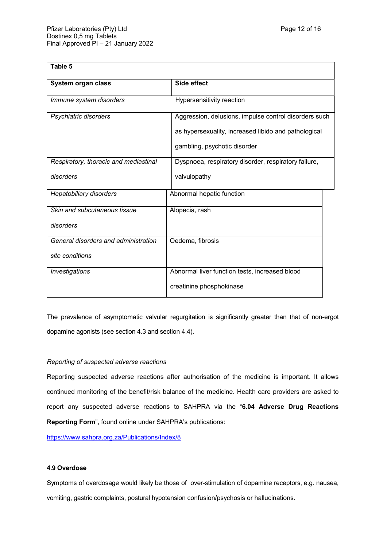| Table 5                                                 |                                                                                                                                               |  |
|---------------------------------------------------------|-----------------------------------------------------------------------------------------------------------------------------------------------|--|
| System organ class                                      | Side effect                                                                                                                                   |  |
| Immune system disorders                                 | Hypersensitivity reaction                                                                                                                     |  |
| Psychiatric disorders                                   | Aggression, delusions, impulse control disorders such<br>as hypersexuality, increased libido and pathological<br>gambling, psychotic disorder |  |
| Respiratory, thoracic and mediastinal                   | Dyspnoea, respiratory disorder, respiratory failure,                                                                                          |  |
| disorders                                               | valvulopathy                                                                                                                                  |  |
| <b>Hepatobiliary disorders</b>                          | Abnormal hepatic function                                                                                                                     |  |
| Skin and subcutaneous tissue<br>disorders               | Alopecia, rash                                                                                                                                |  |
| General disorders and administration<br>site conditions | Oedema, fibrosis                                                                                                                              |  |
| Investigations                                          | Abnormal liver function tests, increased blood<br>creatinine phosphokinase                                                                    |  |

The prevalence of asymptomatic valvular regurgitation is significantly greater than that of non-ergot dopamine agonists (see section 4.3 and section 4.4).

### *Reporting of suspected adverse reactions*

Reporting suspected adverse reactions after authorisation of the medicine is important. It allows continued monitoring of the benefit/risk balance of the medicine. Health care providers are asked to report any suspected adverse reactions to SAHPRA via the "**6.04 Adverse Drug Reactions Reporting Form**", found online under SAHPRA's publications:

<https://www.sahpra.org.za/Publications/Index/8>

## **4.9 Overdose**

Symptoms of overdosage would likely be those of over-stimulation of dopamine receptors, e.g. nausea, vomiting, gastric complaints, postural hypotension confusion/psychosis or hallucinations.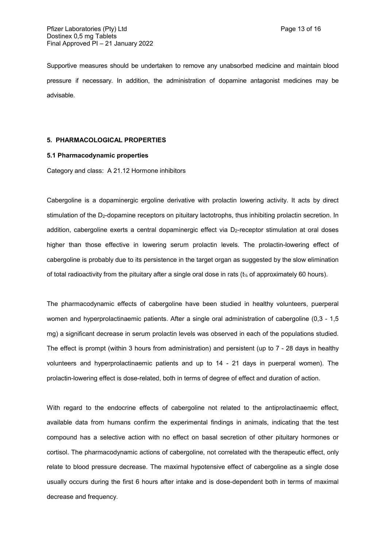Supportive measures should be undertaken to remove any unabsorbed medicine and maintain blood pressure if necessary. In addition, the administration of dopamine antagonist medicines may be advisable.

#### **5. PHARMACOLOGICAL PROPERTIES**

### **5.1 Pharmacodynamic properties**

Category and class: A 21.12 Hormone inhibitors

Cabergoline is a dopaminergic ergoline derivative with prolactin lowering activity. It acts by direct stimulation of the D<sub>2</sub>-dopamine receptors on pituitary lactotrophs, thus inhibiting prolactin secretion. In addition, cabergoline exerts a central dopaminergic effect via D<sub>2</sub>-receptor stimulation at oral doses higher than those effective in lowering serum prolactin levels. The prolactin-lowering effect of cabergoline is probably due to its persistence in the target organ as suggested by the slow elimination of total radioactivity from the pituitary after a single oral dose in rats (t<sup>½</sup> of approximately 60 hours).

The pharmacodynamic effects of cabergoline have been studied in healthy volunteers, puerperal women and hyperprolactinaemic patients. After a single oral administration of cabergoline (0,3 - 1,5 mg) a significant decrease in serum prolactin levels was observed in each of the populations studied. The effect is prompt (within 3 hours from administration) and persistent (up to 7 - 28 days in healthy volunteers and hyperprolactinaemic patients and up to 14 - 21 days in puerperal women). The prolactin-lowering effect is dose-related, both in terms of degree of effect and duration of action.

With regard to the endocrine effects of cabergoline not related to the antiprolactinaemic effect, available data from humans confirm the experimental findings in animals, indicating that the test compound has a selective action with no effect on basal secretion of other pituitary hormones or cortisol. The pharmacodynamic actions of cabergoline, not correlated with the therapeutic effect, only relate to blood pressure decrease. The maximal hypotensive effect of cabergoline as a single dose usually occurs during the first 6 hours after intake and is dose-dependent both in terms of maximal decrease and frequency.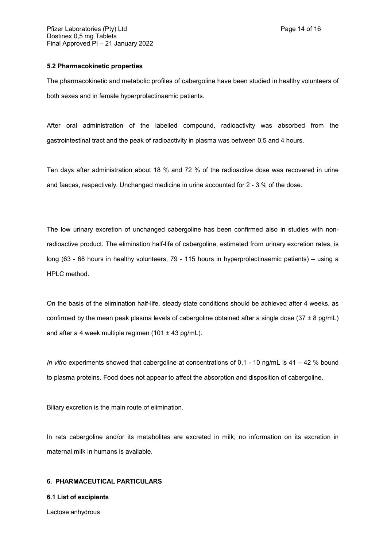### **5.2 Pharmacokinetic properties**

The pharmacokinetic and metabolic profiles of cabergoline have been studied in healthy volunteers of both sexes and in female hyperprolactinaemic patients.

After oral administration of the labelled compound, radioactivity was absorbed from the gastrointestinal tract and the peak of radioactivity in plasma was between 0,5 and 4 hours.

Ten days after administration about 18 % and 72 % of the radioactive dose was recovered in urine and faeces, respectively. Unchanged medicine in urine accounted for 2 - 3 % of the dose.

The low urinary excretion of unchanged cabergoline has been confirmed also in studies with nonradioactive product. The elimination half-life of cabergoline, estimated from urinary excretion rates, is long (63 - 68 hours in healthy volunteers, 79 - 115 hours in hyperprolactinaemic patients) – using a HPLC method.

On the basis of the elimination half-life, steady state conditions should be achieved after 4 weeks, as confirmed by the mean peak plasma levels of cabergoline obtained after a single dose  $(37 \pm 8 \text{ pg/mL})$ and after a 4 week multiple regimen (101  $\pm$  43 pg/mL).

*In vitro* experiments showed that cabergoline at concentrations of 0,1 - 10 ng/mL is 41 – 42 % bound to plasma proteins. Food does not appear to affect the absorption and disposition of cabergoline.

Biliary excretion is the main route of elimination.

In rats cabergoline and/or its metabolites are excreted in milk; no information on its excretion in maternal milk in humans is available.

#### **6. PHARMACEUTICAL PARTICULARS**

#### **6.1 List of excipients**

Lactose anhydrous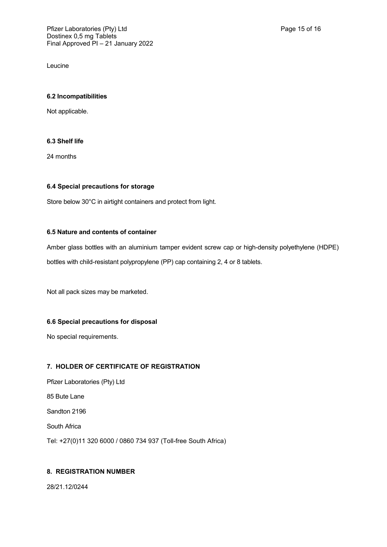Leucine

## **6.2 Incompatibilities**

Not applicable.

## **6.3 Shelf life**

24 months

## **6.4 Special precautions for storage**

Store below 30°C in airtight containers and protect from light.

## **6.5 Nature and contents of container**

Amber glass bottles with an aluminium tamper evident screw cap or high-density polyethylene (HDPE) bottles with child-resistant polypropylene (PP) cap containing 2, 4 or 8 tablets.

Not all pack sizes may be marketed.

## **6.6 Special precautions for disposal**

No special requirements.

## **7. HOLDER OF CERTIFICATE OF REGISTRATION**

Pfizer Laboratories (Pty) Ltd 85 Bute Lane Sandton 2196 South Africa Tel: +27(0)11 320 6000 / 0860 734 937 (Toll-free South Africa)

## **8. REGISTRATION NUMBER**

28/21.12/0244